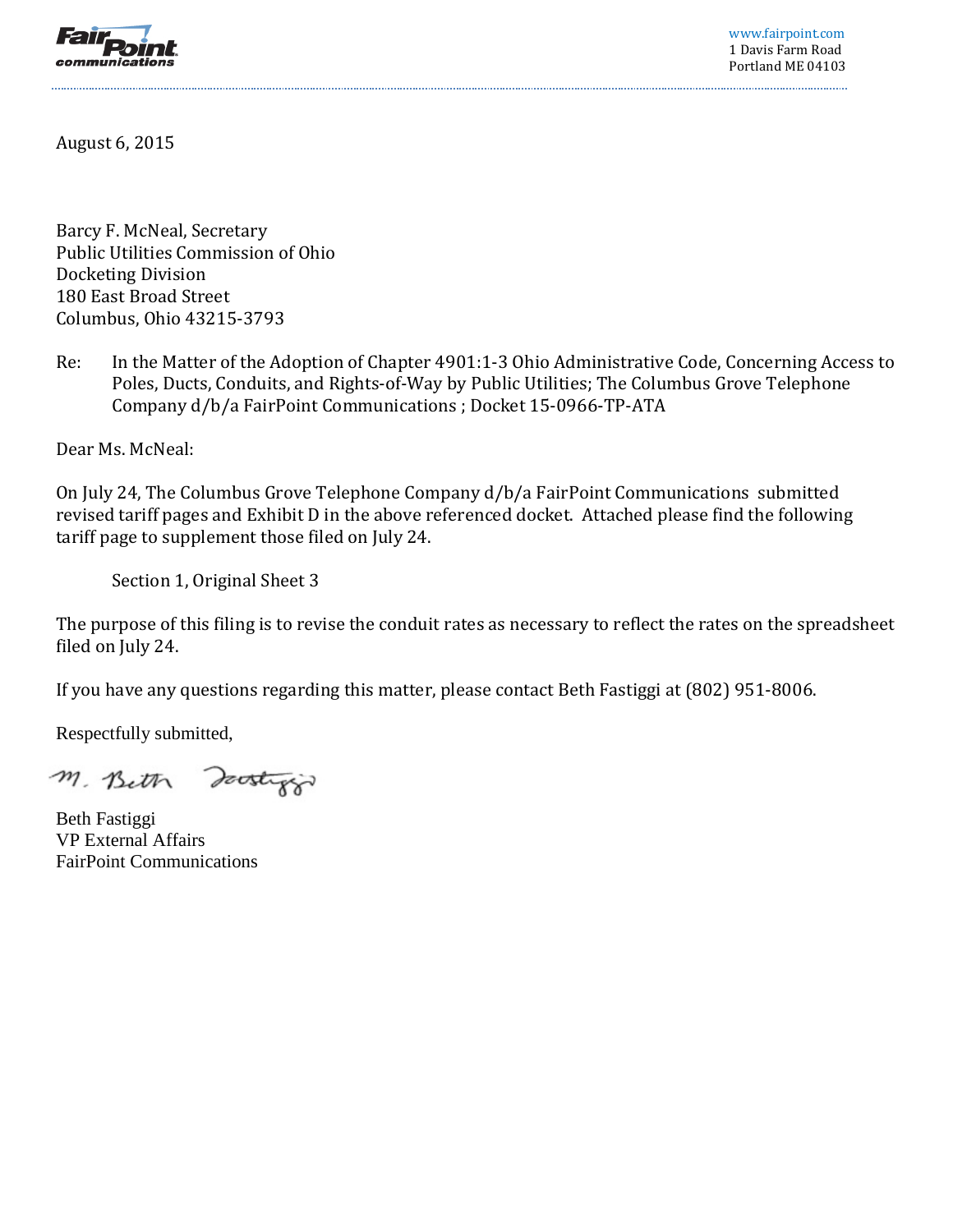

www.fairpoint.com 1 Davis Farm Road Portland ME 04103

August 6, 2015

Barcy F. McNeal, Secretary Public Utilities Commission of Ohio Docketing Division 180 East Broad Street Columbus, Ohio 43215-3793

Re: In the Matter of the Adoption of Chapter 4901:1-3 Ohio Administrative Code, Concerning Access to Poles, Ducts, Conduits, and Rights-of-Way by Public Utilities; The Columbus Grove Telephone Company d/b/a FairPoint Communications ; Docket 15-0966-TP-ATA

Dear Ms. McNeal:

On July 24, The Columbus Grove Telephone Company d/b/a FairPoint Communications submitted revised tariff pages and Exhibit D in the above referenced docket. Attached please find the following tariff page to supplement those filed on July 24.

Section 1, Original Sheet 3

The purpose of this filing is to revise the conduit rates as necessary to reflect the rates on the spreadsheet filed on July 24.

If you have any questions regarding this matter, please contact Beth Fastiggi at (802) 951-8006.

Respectfully submitted,

M. Beth Doostyp

Beth Fastiggi VP External Affairs FairPoint Communications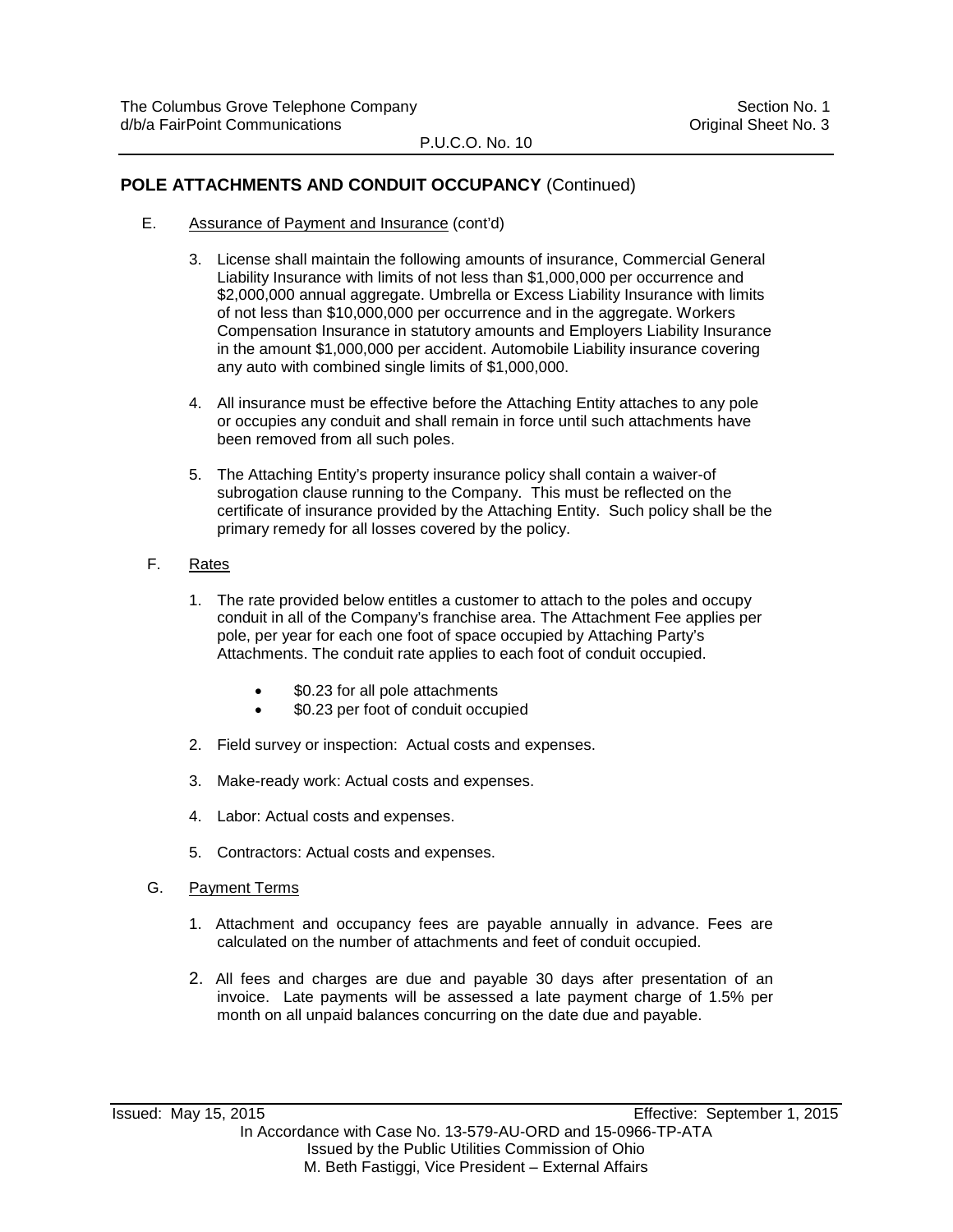## P.U.C.O. No. 10

## **POLE ATTACHMENTS AND CONDUIT OCCUPANCY** (Continued)

- E. Assurance of Payment and Insurance (cont'd)
	- 3. License shall maintain the following amounts of insurance, Commercial General Liability Insurance with limits of not less than \$1,000,000 per occurrence and \$2,000,000 annual aggregate. Umbrella or Excess Liability Insurance with limits of not less than \$10,000,000 per occurrence and in the aggregate. Workers Compensation Insurance in statutory amounts and Employers Liability Insurance in the amount \$1,000,000 per accident. Automobile Liability insurance covering any auto with combined single limits of \$1,000,000.
	- 4. All insurance must be effective before the Attaching Entity attaches to any pole or occupies any conduit and shall remain in force until such attachments have been removed from all such poles.
	- 5. The Attaching Entity's property insurance policy shall contain a waiver-of subrogation clause running to the Company. This must be reflected on the certificate of insurance provided by the Attaching Entity. Such policy shall be the primary remedy for all losses covered by the policy.
- F. Rates
	- 1. The rate provided below entitles a customer to attach to the poles and occupy conduit in all of the Company's franchise area. The Attachment Fee applies per pole, per year for each one foot of space occupied by Attaching Party's Attachments. The conduit rate applies to each foot of conduit occupied.
		- \$0.23 for all pole attachments
		- \$0.23 per foot of conduit occupied
	- 2. Field survey or inspection: Actual costs and expenses.
	- 3. Make-ready work: Actual costs and expenses.
	- 4. Labor: Actual costs and expenses.
	- 5. Contractors: Actual costs and expenses.
- G. Payment Terms
	- 1. Attachment and occupancy fees are payable annually in advance. Fees are calculated on the number of attachments and feet of conduit occupied.
	- 2. All fees and charges are due and payable 30 days after presentation of an invoice. Late payments will be assessed a late payment charge of 1.5% per month on all unpaid balances concurring on the date due and payable.